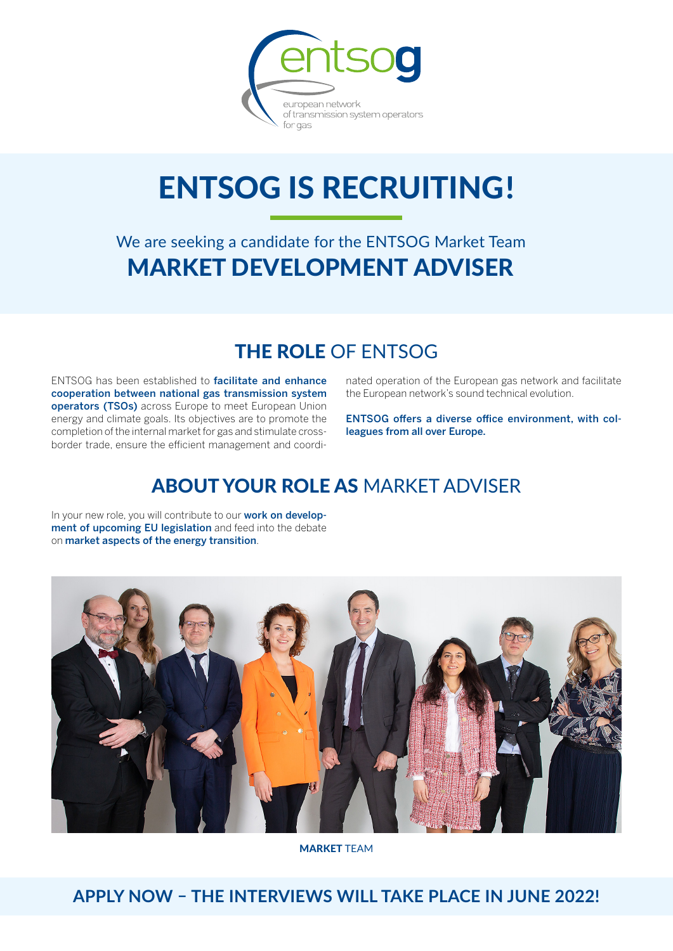

# **ENTSOG IS RECRUITING!**

# We are seeking a candidate for the ENTSOG Market Team MARKET DEVELOPMENT ADVISER

### THE ROLE OF ENTSOG

ENTSOG has been established to facilitate and enhance cooperation between national gas transmission system operators (TSOs) across Europe to meet European Union energy and climate goals. Its objectives are to promote the completion of the internal market for gas and stimulate crossborder trade, ensure the efficient management and coordinated operation of the European gas network and facilitate the European network's sound technical evolution.

ENTSOG offers a diverse office environment, with colleagues from all over Europe.

# ABOUT YOUR ROLE AS MARKET ADVISER

In your new role, you will contribute to our work on development of upcoming EU legislation and feed into the debate on market aspects of the energy transition.



MARKET TEAM

**APPLY NOW – THE INTERVIEWS WILL TAKE PLACE IN JUNE 2022!**